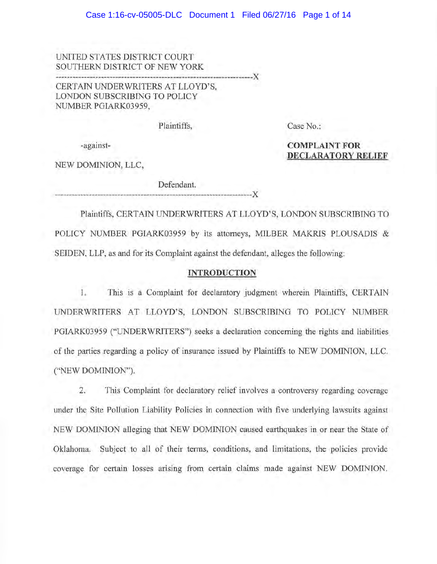UNITED STATES DISTRICT COURT SOUTHERN DISTRICT OF NEW YORK

CERTAIN UNDERWRITERS AT LLOYD'S, LONDON SUBSCRIBING TO POLICY NUMBER PGIARK03959,

Plaintiffs,

---------------------------------------------------------~---------)(

Case No.:

**COMPLAINT FOR** 

**DECLARATORY RELIEF** 

-against-

NEW DOMINION, LLC,

Defendant.

Plaintiffs, CERTAIN UNDERWRITERS AT LLOYD'S, LONDON SUBSCRIBING TO POLICY NUMBER PGIARK03959 by its attorneys, MILBER MAKRIS PLOUSADIS & SEIDEN, LLP, as and for its Complaint against the defendant, alleges the following:

--------------------------------------------------------------------)(

## **INTRODUCTION**

1. This is a Complaint for declaratory judgment wherein Plaintiffs, CERTAIN UNDERWRITERS AT LLOYD'S, LONDON SUBSCRIBING TO POLICY NUMBER PGIARK03959 ("UNDERWRITERS") seeks a declaration concerning the rights and liabilities of the parties regarding a policy of insurance issued by Plaintiffs to NEW DOMINION, LLC. ("NEW DOMINION").

2. This Complaint for declaratory relief involves a controversy regarding coverage under the Site Pollution Liability Policies in connection with five underlying lawsuits against NEW DOMINION alleging that NEW DOMINION caused earthquakes in or near the State of Oklahoma. Subject to all of their terms, conditions, and limitations, the policies provide coverage for certain losses arising from certain claims made against NEW DOMINION.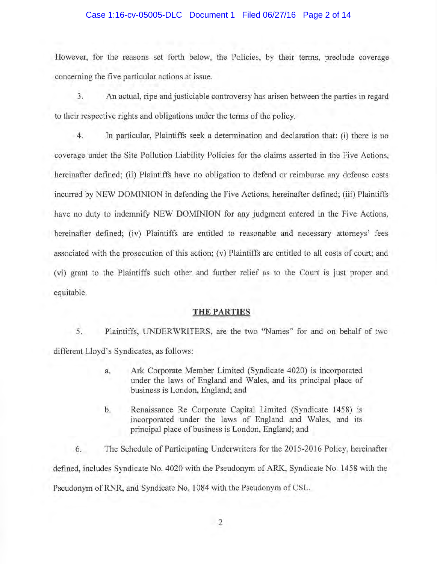#### Case 1:16-cv-05005-DLC Document 1 Filed 06/27/16 Page 2 of 14

However, for the reasons set forth below, the Policies, by their terms, preclude coverage concerning the five particular actions at issue.

3. An actual, ripe and justiciable controversy has arisen between the parties in regard to their respective rights and obligations under the terms of the policy.

4. In particular, Plaintiffs seek a determination and declaration that: (i) there is no coverage under the Site Pollution Liability Policies for the claims asserted in the Five Actions, hereinafter defined; (ii) Plaintiffs have no obligation to defend or reimburse any defense costs incurred by NEW DOMINION in defending the Five Actions, hereinafter defined; (iii) Plaintiffs have no duty to indemnify NEW DOMINION for any judgment entered in the Five Actions, hereinafter defined; (iv) Plaintiffs are entitled to reasonable and necessary attorneys' fees associated with the prosecution of this action; (v) Plaintiffs are entitled to all costs of court; and (vi) grant to the Plaintiffs such other and further relief as to the Court is just proper and equitable.

#### **THE PARTIES**

5. Plaintiffs, UNDERWRITERS, are the two "Names" for and on behalf of two different Lloyd's Syndicates, as follows:

- a. Ark Corporate Member Limited (Syndicate 4020) is incorporated under the laws of England and Wales, and its principal place of business is London, England; and
- b. Renaissance Re Corporate Capital Limited (Syndicate 1458) is incorporated under the laws of England and Wales, and its principal place of business is London, England; and

6. The Schedule of Participating Underwriters for the 2015-2016 Policy, hereinafter defined, includes Syndicate No. 4020 with the Pseudonym of ARK, Syndicate No. 1458 with the Pseudonym of RNR, and Syndicate No. 1084 with the Pseudonym of CSL.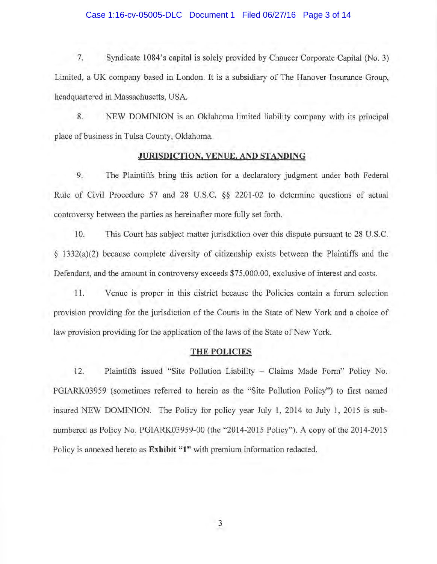#### Case 1:16-cv-05005-DLC Document 1 Filed 06/27/16 Page 3 of 14

7. Syndicate 1084's capital is solely provided by Chaucer Corporate Capital (No. 3) Limited, a UK company based in London. It is a subsidiary of The Hanover Insurance Group, headquartered in Massachusetts, USA.

8. NEW DOMINION is an Oklahoma limited liability company with its principal place of business in Tulsa County, Oklahoma.

#### **JURISDICTION, VENUE, AND STANDING**

9. The Plaintiffs bring this action for a declaratory judgment under both Federal Rule of Civil Procedure 57 and 28 U.S.C. §§ 2201-02 to determine questions of actual controversy between the parties as hereinafter more fully set forth.

10. This Court has subject matter jurisdiction over this dispute pursuant to 28 U.S.C. § 1332(a)(2) because complete diversity of citizenship exists between the Plaintiffs and the Defendant, and the amount in controversy exceeds \$75,000.00, exclusive of interest and costs.

11. Venue is proper in this district because the Policies contain a forum selection provision providing for the jurisdiction of the Courts in the State of New York and a choice of law provision providing for the application of the laws of the State of New York.

#### **THE POLICIES**

12. Plaintiffs issued "Site Pollution Liability - Claims Made Form" Policy No. PGIARK03959 (sometimes referred to herein as the "Site Pollution Policy") to first named insured NEW DOMINION. The Policy for policy year July 1, 2014 to July 1, 2015 is subnumbered as Policy No. PGIARK03959-00 (the "2014-2015 Policy"). A copy of the 2014-2015 Policy is annexed hereto as **Exhibit "1"** with premium information redacted.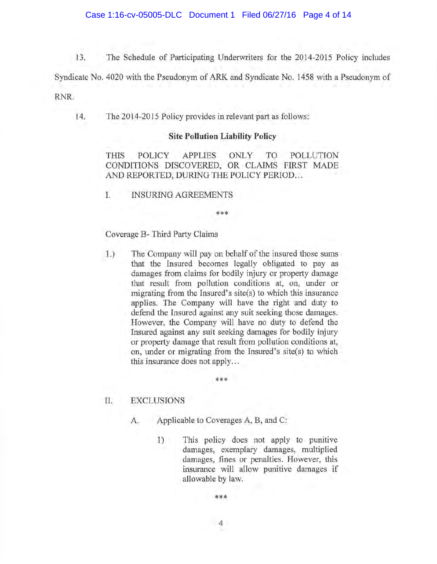13. The Schedule of Participating Underwriters for the 2014-2015 Policy includes

Syndicate No. 4020 with the Pseudonym of ARK and Syndicate No. 1458 with a Pseudonym of

RNR.

14. The 2014-2015 Policy provides in relevant part as follows:

#### **Site Pollution Liability Policy**

THIS POLICY APPLIES ONLY TO POLLUTION CONDITIONS DISCOVERED, OR CLAIMS FIRST MADE AND REPORTED, DURING THE POLICY PERIOD...

\*\*\*

I. INSURING AGREEMENTS

## Coverage B- Third Party Claims

1.) The Company will pay on behalf of the insured those sums that the Insured becomes legally obligated to pay as damages from claims for bodily injury or property damage that result from pollution conditions at, on, under or migrating from the Insured's site(s) to which this insurance applies. The Company will have the right and duty to defend the Insured against any suit seeking those damages. However, the Company will have no duty to defend the Insured against any suit seeking damages for bodily injury or property damage that result from pollution conditions at, on, under or migrating from the Insured's site(s) to which this insurance does not apply...

\*\*\*

## II. EXCLUSIONS

- A. Applicable to Coverages A, B, and C:
	- 1) This policy does not apply to punitive damages, exemplary damages, multiplied damages, fines or penalties. However, this insurance will allow punitive damages if allowable by law.

\*\*\*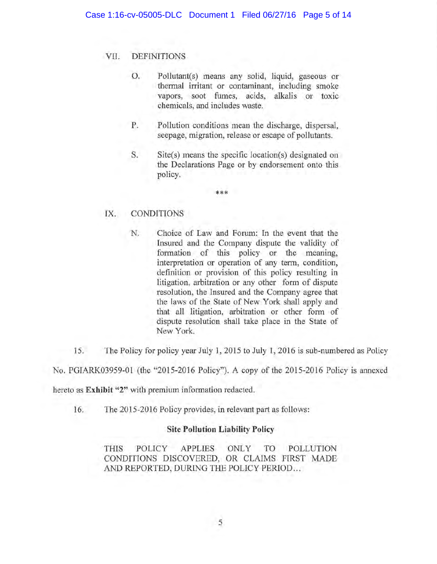# VII. DEFINITIONS

- 0. Pollutant(s) means any solid, liquid, gaseous or thermal irritant or contaminant, including smoke vapors, soot fumes, acids, alkalis or toxic chemicals, and includes waste.
- P. Pollution conditions mean the discharge, dispersal, seepage, migration, release or escape of pollutants.
- S. Site(s) means the specific location(s) designated on the Declarations Page or by endorsement onto this policy.

\*\*\*

## IX. CONDITIONS

- N. Choice of Law and Forum: In the event that the Insured and the Company dispute the validity of formation of this policy or the meaning, interpretation or operation of any term, condition, definition or provision of this policy resulting in litigation, arbitration or any other form of dispute resolution, the Insured and the Company agree that the laws of the State of New York shall apply and that all litigation, arbitration or other form of dispute resolution shall take place in the State of New York.
- 15. The Policy for policy year July 1, 2015 to July 1, 2016 is sub-numbered as Policy

No. PGIARK03959-0l (the "2015-2016 Policy"). A copy of the 2015-2016 Policy is annexed

hereto as **Exhibit** "2" with premium information redacted.

16. The 2015-2016 Policy provides, in relevant part as follows:

### **Site Pollution Liability Policy**

THIS POLICY APPLIES ONLY TO POLLUTION CONDITIONS DISCOVERED, OR CLAIMS FIRST MADE AND REPORTED, DURING THE POLICY PERIOD...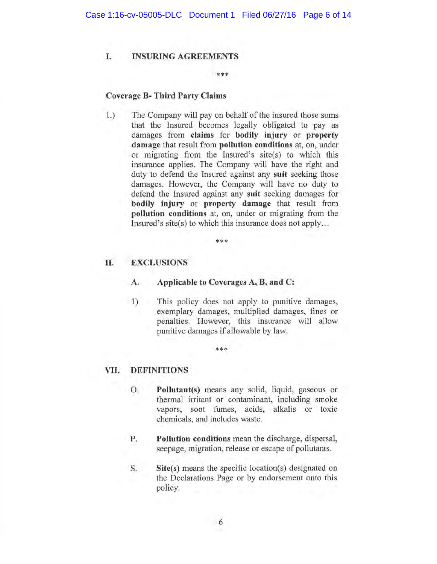## **I. INSURING AGREEMENTS**

#### \*\*\*

## **Coverage B- Third Party Claims**

1.) The Company will pay on behalf of the insured those sums that the Insured becomes legally obligated to pay as damages from **claims for bodily injury or property damage** that result from **pollution conditions** at, on, under or migrating from the Insured's site(s) to which this insurance applies. The Company will have the right and duty to defend the Insured against any **suit** seeking those damages. However, the Company will have no duty to defend the Insured against any **suit** seeking damages for **bodily injury or property damage** that result from **pollution conditions** at, on, under or migrating from the Insured's site(s) to which this insurance does not apply...

\*\*\*

### **II. EXCLUSIONS**

- **A. Applicable to Coverages A, B, and C:**
- 1) This policy does not apply to punitive damages, exemplary damages, multiplied damages, fines or penalties. However, this insurance will allow punitive damages if allowable by law.

\*\*\*

#### **VII. DEFINITIONS**

- 0. **Pollutant(s)** means any solid, liquid, gaseous or thermal irritant or contaminant, including smoke vapors, soot fumes, acids, alkalis or toxic chemicals, and includes waste.
- **P. Pollution conditions** mean the discharge, dispersal, seepage, migration, release or escape of pollutants.
- S. **Site(s)** means the specific location(s) designated on the Declarations Page or by endorsement onto this policy.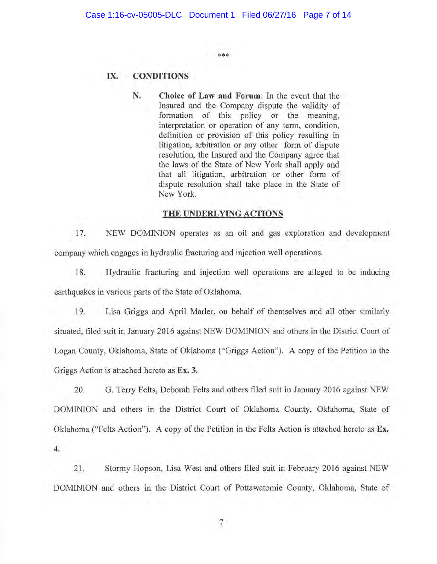\*\*\*

**IX. CONDITIONS** 

**N. Choice of Law and Forum:** In the event that the Insured and the Company dispute the validity of formation of this policy or the meaning, interpretation or operation of any term, condition, definition or provision of this policy resulting in litigation, arbitration or any other form of dispute resolution, the Insured and the Company agree that the laws of the State of New York shall apply and that all litigation, arbitration or other form of dispute resolution shall take place in the State of New York.

### **THE UNDERLYING ACTIONS**

17. NEW DOMINION operates as an oil and gas exploration and development company which engages in hydraulic fracturing and injection well operations.

18. Hydraulic fracturing and injection well operations are alleged to be inducing earthquakes in various parts of the State of Oklahoma.

19. Lisa Griggs and April Marler, on behalf of themselves and all other similarly situated, filed suit in January 2016 against NEW DOMINION and others in the District Court of Logan County, Oklahoma, State of Oklahoma ("Griggs Action"). A copy of the Petition in the Griggs Action is attached hereto as **Ex. 3.** 

20. G. Terry Felts, Deborah Felts and others filed suit in January 2016 against NEW DOMINION and others in the District Court of Oklahoma County, Oklahoma, State of Oklahoma ("Felts Action"). A copy of the Petition in the Felts Action is attached hereto as Ex. **4.** 

21. Stormy Hopson, Lisa West and others filed suit in February 2016 against NEW DOMINION and others in the District Court of Pottawatomie County, Oklahoma, State of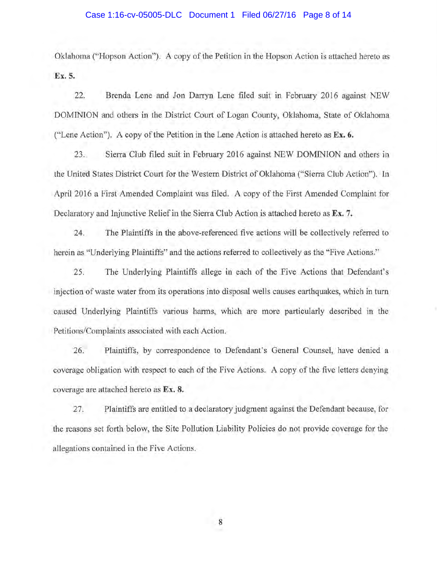#### Case 1:16-cv-05005-DLC Document 1 Filed 06/27/16 Page 8 of 14

Oklahoma ("Hopson Action"). A copy of the Petition in the Hopson Action is attached hereto as **Ex. 5.** 

22. Brenda Lene and Jon Darryn Lene filed suit in February 2016 against NEW DOMINION and others in the District Court of Logan County, Oklahoma, State of Oklahoma ("Lene Action"). A copy of the Petition in the Lene Action is attached hereto as **Ex. 6.** 

23. Sierra Club filed suit in February 2016 against NEW DOMINION and others in the United States District Court for the Western District of Oklahoma ("Sierra Club Action"). In April 2016 a First Amended Complaint was filed. A copy of the First Amended Complaint for Declaratory and Injunctive Relief in the Sierra Club Action is attached hereto as **Ex. 7.** 

24. The Plaintiffs in the above-referenced five actions will be collectively referred to herein as "Underlying Plaintiffs" and the actions referred to collectively as the "Five Actions."

25. The Underlying Plaintiffs allege in each of the Five Actions that Defendant's injection of waste water from its operations into disposal wells causes earthquakes, which in turn caused Underlying Plaintiffs various harms, which are more particularly described in the Petitions/Complaints associated with each Action.

26. Plaintiffs, by correspondence to Defendant's General Counsel, have denied a coverage obligation with respect to each of the Five Actions. A copy of the five letters denying coverage are attached hereto as **Ex. 8.** 

27. Plaintiffs are entitled to a declaratory judgment against the Defendant because, for the reasons set forth below, the Site Pollution Liability Policies do not provide coverage for the allegations contained in the Five Actions.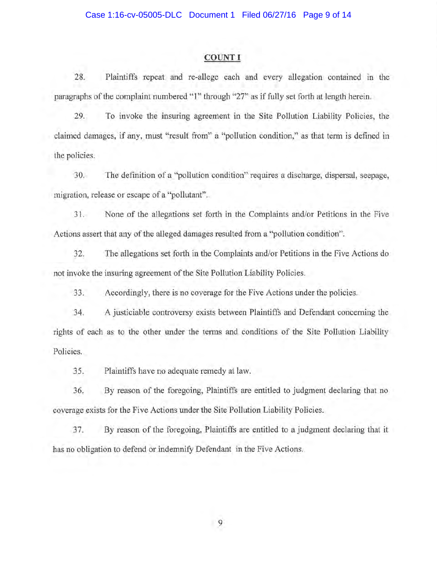#### **COUNT I**

28. Plaintiffs repeat and re-allege each and every allegation contained in the paragraphs of the complaint numbered "l" through "27" as if fully set forth at length herein.

29. To invoke the insuring agreement in the Site Pollution Liability Policies, the claimed damages, if any, must "result from" a "pollution condition," as that term is defined in the policies.

30. The definition of a "pollution condition" requires a discharge, dispersal, seepage, migration, release or escape of a "pollutant".

31. None of the allegations set forth in the Complaints and/or Petitions in the Five Actions assert that any of the alleged damages resulted from a "pollution condition".

32. The allegations set forth in the Complaints and/or Petitions in the Five Actions do not invoke the insuring agreement of the Site Pollution Liability Policies.

33. Accordingly, there is no coverage for the Five Actions under the policies.

34. A justiciable controversy exists between Plaintiffs and Defendant concerning the rights of each as to the other under the terms and conditions of the Site Pollution Liability Policies.

35. Plaintiffs have no adequate remedy at law.

36. By reason of the foregoing, Plaintiffs are entitled to judgment declaring that no coverage exists for the Five Actions under the Site Pollution Liability Policies.

37. By reason of the foregoing, Plaintiffs are entitled to a judgment declaring that it has no obligation to defend or indemnify Defendant in the Five Actions.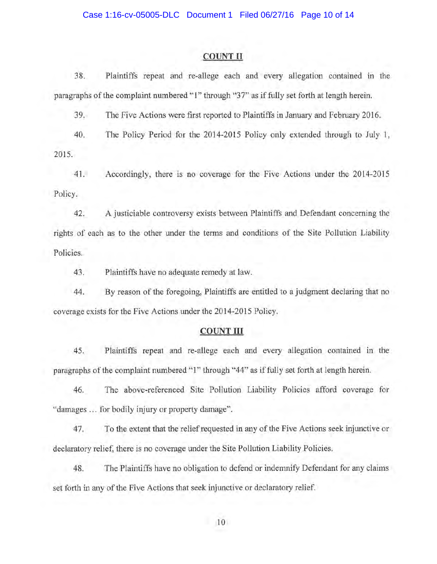## Case 1:16-cv-05005-DLC Document 1 Filed 06/27/16 Page 10 of 14

#### **COUNT II**

38. Plaintiffs repeat and re-allege each and every allegation contained in the paragraphs of the complaint numbered "1" through "37" as if fully set forth at length herein.

39. The Five Actions were first reported to Plaintiffs in January and February 2016.

40. The Policy Period for the 2014-2015 Policy only extended through to July 1,

2015.

41. Accordingly, there is no coverage for the Five Actions under the 2014-2015 Policy.

42. A justiciable controversy exists between Plaintiffs and Defendant concerning the rights of each as to the other under the terms and conditions of the Site Pollution Liability Policies.

43. Plaintiffs have no adequate remedy at law.

44. By reason of the foregoing, Plaintiffs are entitled to a judgment declaring that no coverage exists for the Five Actions under the 2014-2015 Policy.

#### **COUNT III**

45. Plaintiffs repeat and re-allege each and every allegation contained in the paragraphs of the complaint numbered "1" through "44" as if fully set forth at length herein.

46. The above-referenced Site Pollution Liability Policies afford coverage for "damages ... for bodily injury or property damage".

47. To the extent that the reliefrequested in any of the Five Actions seek injunctive or declaratory relief, there is no coverage under the Site Pollution Liability Policies.

48. The Plaintiffs have no obligation to defend or indemnify Defendant for any claims set forth in any of the Five Actions that seek injunctive or declaratory relief.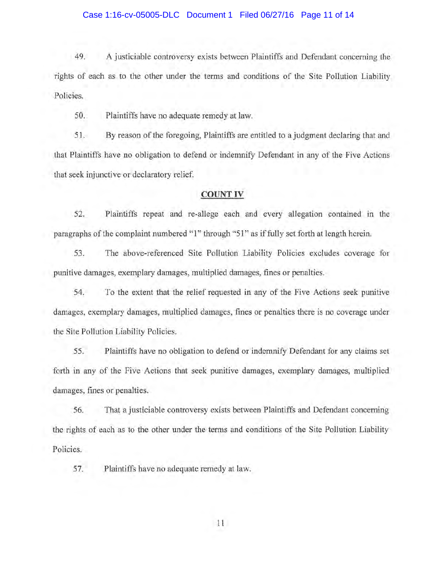#### Case 1:16-cv-05005-DLC Document 1 Filed 06/27/16 Page 11 of 14

49. A justiciable controversy exists between Plaintiffs and Defendant concerning the rights of each as to the other under the terms and conditions of the Site Pollution Liability Policies.

50. Plaintiffs have no adequate remedy at law.

51. By reason of the foregoing, Plaintiffs are entitled to a judgment declaring that and that Plaintiffs have no obligation to defend or indemnify Defendant in any of the Five Actions that seek injunctive or declaratory relief.

#### **COUNT IV**

52. Plaintiffs repeat and re-allege each and every allegation contained in the paragraphs of the complaint numbered "1" through "51" as if fully set forth at length herein.

53. The above-referenced Site Pollution Liability Policies excludes coverage for punitive damages, exemplary damages, multiplied damages, fines or penalties.

54. To the extent that the relief requested in any of the Five Actions seek punitive damages, exemplary damages, multiplied damages, fines or penalties there is no coverage under the Site Pollution Liability Policies.

55. Plaintiffs have no obligation to defend or indemnify Defendant for any claims set forth in any of the Five Actions that seek punitive damages, exemplary damages, multiplied damages, fines or penalties.

56. That a justiciable controversy exists between Plaintiffs and Defendant concerning the rights of each as to the other under the terms and conditions of the Site Pollution Liability Policies.

57. Plaintiffs have no adequate remedy at law.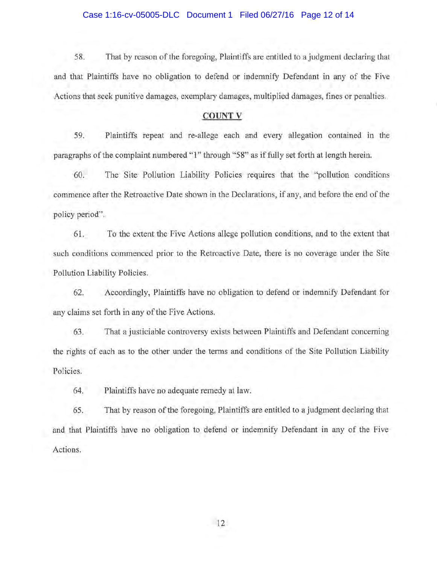#### Case 1:16-cv-05005-DLC Document 1 Filed 06/27/16 Page 12 of 14

58. That by reason of the foregoing, Plaintiffs are entitled to a judgment declaring that and that Plaintiffs have no obligation to defend or indemnify Defendant in any of the Five Actions that seek punitive damages, exemplary damages, multiplied damages, fines or penalties.

### **COUNTY**

59. Plaintiffs repeat and re-allege each and every allegation contained in the paragraphs of the complaint numbered "1" through "58" as if fully set forth at length herein.

60. The Site Pollution Liability Policies requires that the "pollution conditions commence after the Retroactive Date shown in the Declarations, if any, and before the end of the policy period".

61. To the extent the Five Actions allege pollution conditions, and to the extent that such conditions commenced prior to the Retroactive Date, there is no coverage under the Site Pollution Liability Policies.

62. Accordingly, Plaintiffs have no obligation to defend or indemnify Defendant for any claims set forth in any of the Five Actions.

63. That a justiciable controversy exists between Plaintiffs and Defendant concerning the rights of each as to the other under the terms and conditions of the Site Pollution Liability Policies.

64. Plaintiffs have no adequate remedy at law.

65. That by reason of the foregoing, Plaintiffs are entitled to a judgment declaring that and that Plaintiffs have no obligation to defend or indemnify Defendant in any of the Five Actions.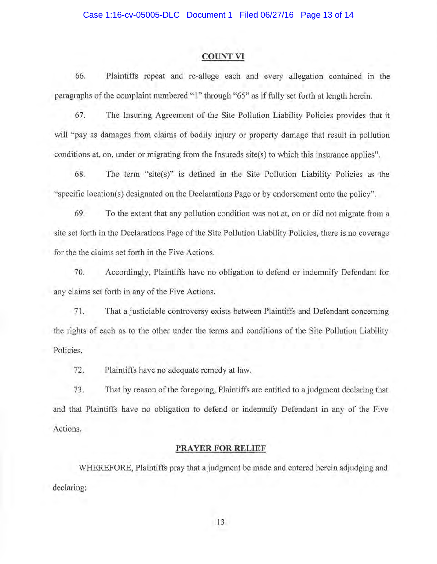#### **COUNT VI**

66. Plaintiffs repeat and re-allege each and every allegation contained in the paragraphs of the complaint numbered "I" through "65" as if fully set forth at length herein.

67. The Insuring Agreement of the Site Pollution Liability Policies provides that it will "pay as damages from claims of bodily injury or property damage that result in pollution conditions at, on, under or migrating from the Insureds site(s) to which this insurance applies".

68. The term "site(s)" is defined in the Site Pollution Liability Policies as the "specific location(s) designated on the Declarations Page or by endorsement onto the policy".

69. To the extent that any pollution condition was not at, on or did not migrate from a site set forth in the Declarations Page of the Site Pollution Liability Policies, there is no coverage for the the claims set forth in the Five Actions.

70. Accordingly, Plaintiffs have no obligation to defend or indemnify Defendant for any claims set forth in any of the Five Actions.

71. That a justiciable controversy exists between Plaintiffs and Defendant concerning the rights of each as to the other under the terms and conditions of the Site Pollution Liability Policies.

72. Plaintiffs have no adequate remedy at law.

73. That by reason of the foregoing, Plaintiffs are entitled to a judgment declaring that and that Plaintiffs have no obligation to defend or indemnify Defendant in any of the Five Actions.

#### **PRAYER FOR RELIEF**

WHEREFORE, Plaintiffs pray that a judgment be made and entered herein adjudging and declaring: